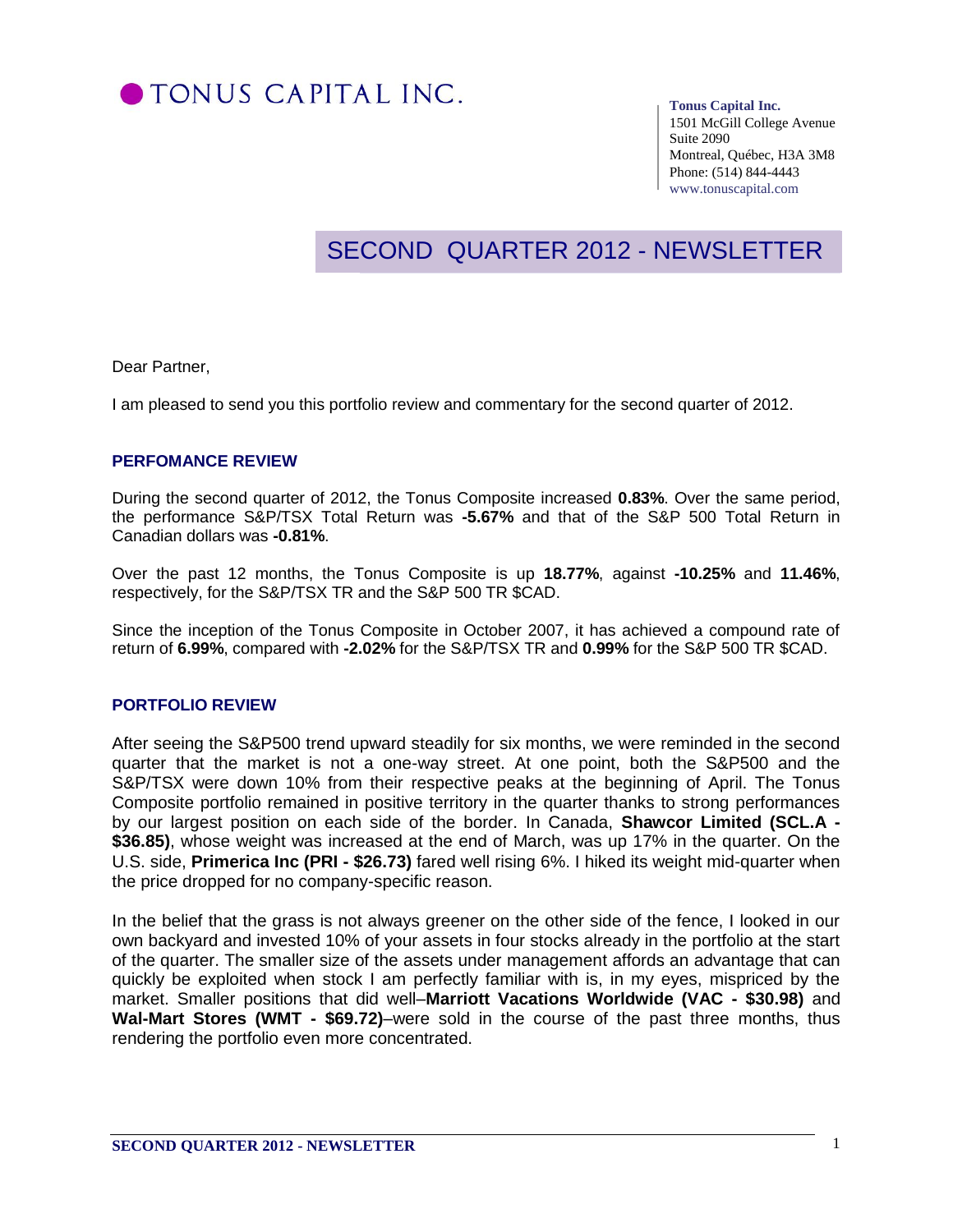

#### **Tonus Capital Inc.**

1501 McGill College Avenue Suite 2090 Montreal, Québec, H3A 3M8 Phone: (514) 844-4443 www.tonuscapital.com

# SECOND QUARTER 2012 - NEWSLETTER

Dear Partner,

I am pleased to send you this portfolio review and commentary for the second quarter of 2012.

#### **PERFOMANCE REVIEW**

During the second quarter of 2012, the Tonus Composite increased **0.83%**. Over the same period, the performance S&P/TSX Total Return was **-5.67%** and that of the S&P 500 Total Return in Canadian dollars was **-0.81%**.

Over the past 12 months, the Tonus Composite is up **18.77%**, against **-10.25%** and **11.46%**, respectively, for the S&P/TSX TR and the S&P 500 TR \$CAD.

Since the inception of the Tonus Composite in October 2007, it has achieved a compound rate of return of **6.99%**, compared with **-2.02%** for the S&P/TSX TR and **0.99%** for the S&P 500 TR \$CAD.

### **PORTFOLIO REVIEW**

After seeing the S&P500 trend upward steadily for six months, we were reminded in the second quarter that the market is not a one-way street. At one point, both the S&P500 and the S&P/TSX were down 10% from their respective peaks at the beginning of April. The Tonus Composite portfolio remained in positive territory in the quarter thanks to strong performances by our largest position on each side of the border. In Canada, **Shawcor Limited (SCL.A - \$36.85)**, whose weight was increased at the end of March, was up 17% in the quarter. On the U.S. side, **Primerica Inc (PRI - \$26.73)** fared well rising 6%. I hiked its weight mid-quarter when the price dropped for no company-specific reason.

In the belief that the grass is not always greener on the other side of the fence, I looked in our own backyard and invested 10% of your assets in four stocks already in the portfolio at the start of the quarter. The smaller size of the assets under management affords an advantage that can quickly be exploited when stock I am perfectly familiar with is, in my eyes, mispriced by the market. Smaller positions that did well–**Marriott Vacations Worldwide (VAC - \$30.98)** and **Wal-Mart Stores (WMT - \$69.72)**–were sold in the course of the past three months, thus rendering the portfolio even more concentrated.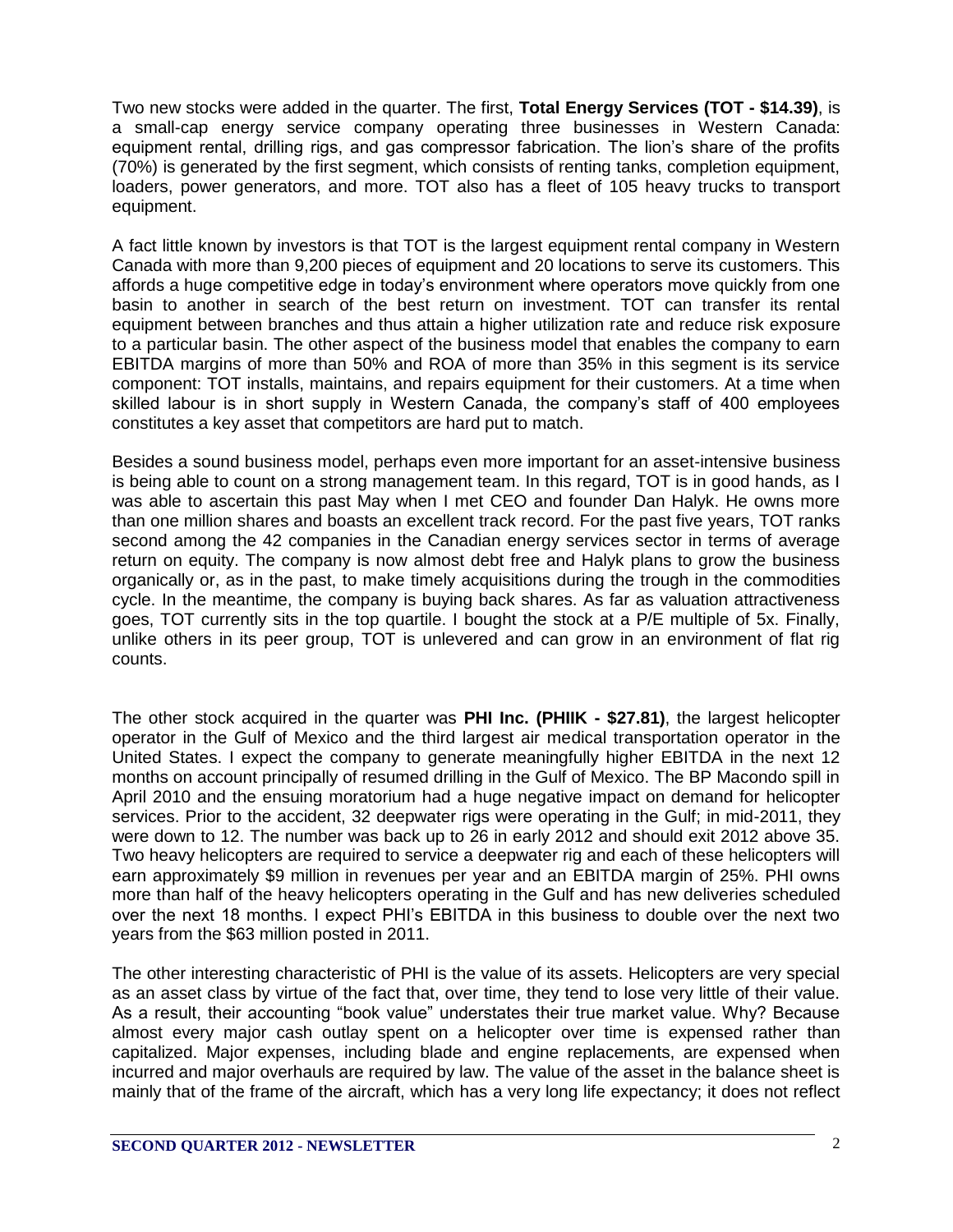Two new stocks were added in the quarter. The first, **Total Energy Services (TOT - \$14.39)**, is a small-cap energy service company operating three businesses in Western Canada: equipment rental, drilling rigs, and gas compressor fabrication. The lion's share of the profits (70%) is generated by the first segment, which consists of renting tanks, completion equipment, loaders, power generators, and more. TOT also has a fleet of 105 heavy trucks to transport equipment.

A fact little known by investors is that TOT is the largest equipment rental company in Western Canada with more than 9,200 pieces of equipment and 20 locations to serve its customers. This affords a huge competitive edge in today's environment where operators move quickly from one basin to another in search of the best return on investment. TOT can transfer its rental equipment between branches and thus attain a higher utilization rate and reduce risk exposure to a particular basin. The other aspect of the business model that enables the company to earn EBITDA margins of more than 50% and ROA of more than 35% in this segment is its service component: TOT installs, maintains, and repairs equipment for their customers. At a time when skilled labour is in short supply in Western Canada, the company's staff of 400 employees constitutes a key asset that competitors are hard put to match.

Besides a sound business model, perhaps even more important for an asset-intensive business is being able to count on a strong management team. In this regard, TOT is in good hands, as I was able to ascertain this past May when I met CEO and founder Dan Halyk. He owns more than one million shares and boasts an excellent track record. For the past five years, TOT ranks second among the 42 companies in the Canadian energy services sector in terms of average return on equity. The company is now almost debt free and Halyk plans to grow the business organically or, as in the past, to make timely acquisitions during the trough in the commodities cycle. In the meantime, the company is buying back shares. As far as valuation attractiveness goes, TOT currently sits in the top quartile. I bought the stock at a P/E multiple of 5x. Finally, unlike others in its peer group, TOT is unlevered and can grow in an environment of flat rig counts.

The other stock acquired in the quarter was **PHI Inc. (PHIIK - \$27.81)**, the largest helicopter operator in the Gulf of Mexico and the third largest air medical transportation operator in the United States. I expect the company to generate meaningfully higher EBITDA in the next 12 months on account principally of resumed drilling in the Gulf of Mexico. The BP Macondo spill in April 2010 and the ensuing moratorium had a huge negative impact on demand for helicopter services. Prior to the accident, 32 deepwater rigs were operating in the Gulf; in mid-2011, they were down to 12. The number was back up to 26 in early 2012 and should exit 2012 above 35. Two heavy helicopters are required to service a deepwater rig and each of these helicopters will earn approximately \$9 million in revenues per year and an EBITDA margin of 25%. PHI owns more than half of the heavy helicopters operating in the Gulf and has new deliveries scheduled over the next 18 months. I expect PHI's EBITDA in this business to double over the next two years from the \$63 million posted in 2011.

The other interesting characteristic of PHI is the value of its assets. Helicopters are very special as an asset class by virtue of the fact that, over time, they tend to lose very little of their value. As a result, their accounting "book value" understates their true market value. Why? Because almost every major cash outlay spent on a helicopter over time is expensed rather than capitalized. Major expenses, including blade and engine replacements, are expensed when incurred and major overhauls are required by law. The value of the asset in the balance sheet is mainly that of the frame of the aircraft, which has a very long life expectancy; it does not reflect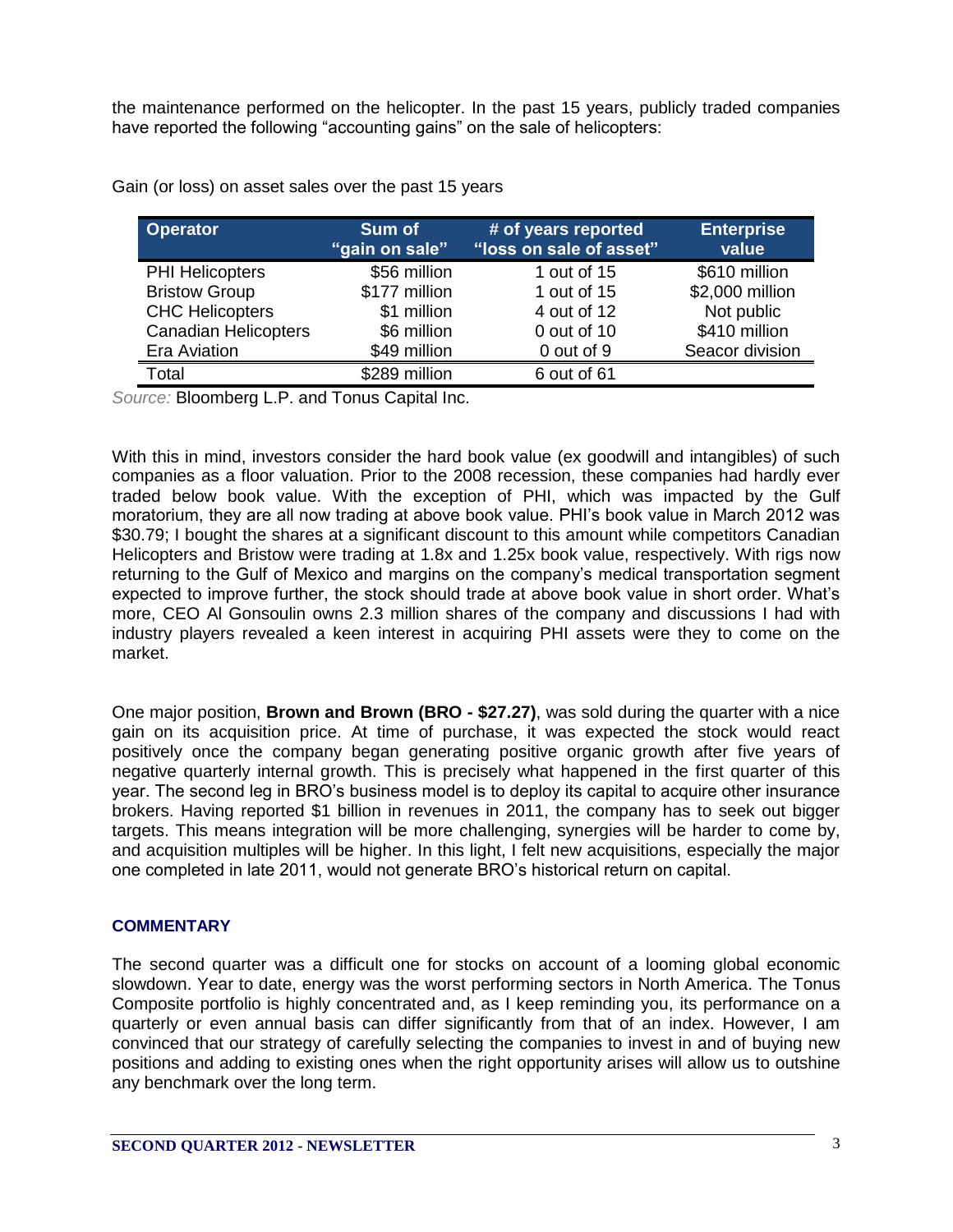the maintenance performed on the helicopter. In the past 15 years, publicly traded companies have reported the following "accounting gains" on the sale of helicopters:

| <b>Operator</b>             | Sum of<br>"gain on sale" | # of years reported<br>"loss on sale of asset" | <b>Enterprise</b><br>value |
|-----------------------------|--------------------------|------------------------------------------------|----------------------------|
| <b>PHI Helicopters</b>      | \$56 million             | 1 out of 15                                    | \$610 million              |
| <b>Bristow Group</b>        | \$177 million            | 1 out of 15                                    | \$2,000 million            |
| <b>CHC Helicopters</b>      | \$1 million              | 4 out of 12                                    | Not public                 |
| <b>Canadian Helicopters</b> | \$6 million              | 0 out of 10                                    | \$410 million              |
| Era Aviation                | \$49 million             | 0 out of 9                                     | Seacor division            |
| Total                       | \$289 million            | 6 out of 61                                    |                            |

Gain (or loss) on asset sales over the past 15 years

*Source:* Bloomberg L.P. and Tonus Capital Inc.

With this in mind, investors consider the hard book value (ex goodwill and intangibles) of such companies as a floor valuation. Prior to the 2008 recession, these companies had hardly ever traded below book value. With the exception of PHI, which was impacted by the Gulf moratorium, they are all now trading at above book value. PHI's book value in March 2012 was \$30.79; I bought the shares at a significant discount to this amount while competitors Canadian Helicopters and Bristow were trading at 1.8x and 1.25x book value, respectively. With rigs now returning to the Gulf of Mexico and margins on the company's medical transportation segment expected to improve further, the stock should trade at above book value in short order. What's more, CEO Al Gonsoulin owns 2.3 million shares of the company and discussions I had with industry players revealed a keen interest in acquiring PHI assets were they to come on the market.

One major position, **Brown and Brown (BRO - \$27.27)**, was sold during the quarter with a nice gain on its acquisition price. At time of purchase, it was expected the stock would react positively once the company began generating positive organic growth after five years of negative quarterly internal growth. This is precisely what happened in the first quarter of this year. The second leg in BRO's business model is to deploy its capital to acquire other insurance brokers. Having reported \$1 billion in revenues in 2011, the company has to seek out bigger targets. This means integration will be more challenging, synergies will be harder to come by, and acquisition multiples will be higher. In this light, I felt new acquisitions, especially the major one completed in late 2011, would not generate BRO's historical return on capital.

#### **COMMENTARY**

The second quarter was a difficult one for stocks on account of a looming global economic slowdown. Year to date, energy was the worst performing sectors in North America. The Tonus Composite portfolio is highly concentrated and, as I keep reminding you, its performance on a quarterly or even annual basis can differ significantly from that of an index. However, I am convinced that our strategy of carefully selecting the companies to invest in and of buying new positions and adding to existing ones when the right opportunity arises will allow us to outshine any benchmark over the long term.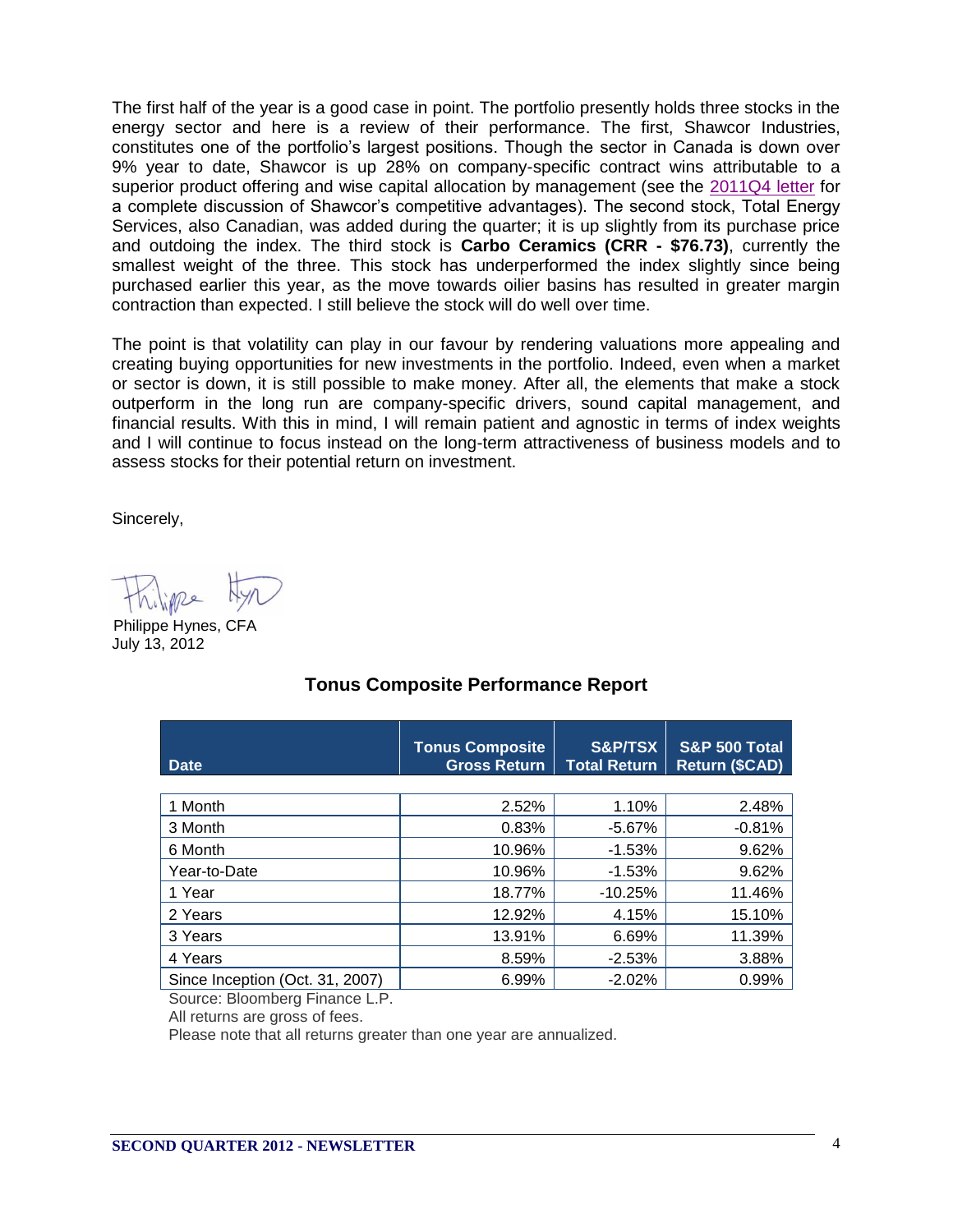The first half of the year is a good case in point. The portfolio presently holds three stocks in the energy sector and here is a review of their performance. The first, Shawcor Industries, constitutes one of the portfolio's largest positions. Though the sector in Canada is down over 9% year to date, Shawcor is up 28% on company-specific contract wins attributable to a superior product offering and wise capital allocation by management (see the [2011Q4 letter](http://www.tonuscapital.com/document/2011_partner_Q4.pdf) for a complete discussion of Shawcor's competitive advantages). The second stock, Total Energy Services, also Canadian, was added during the quarter; it is up slightly from its purchase price and outdoing the index. The third stock is **Carbo Ceramics (CRR - \$76.73)**, currently the smallest weight of the three. This stock has underperformed the index slightly since being purchased earlier this year, as the move towards oilier basins has resulted in greater margin contraction than expected. I still believe the stock will do well over time.

The point is that volatility can play in our favour by rendering valuations more appealing and creating buying opportunities for new investments in the portfolio. Indeed, even when a market or sector is down, it is still possible to make money. After all, the elements that make a stock outperform in the long run are company-specific drivers, sound capital management, and financial results. With this in mind, I will remain patient and agnostic in terms of index weights and I will continue to focus instead on the long-term attractiveness of business models and to assess stocks for their potential return on investment.

Sincerely,

July 13, 2012 Philippe Hynes, CFA

| <b>Date</b>                     | <b>Tonus Composite</b><br><b>Gross Return</b> | <b>S&amp;P/TSX</b><br><b>Total Return</b> | <b>S&amp;P 500 Total</b><br><b>Return (\$CAD)</b> |
|---------------------------------|-----------------------------------------------|-------------------------------------------|---------------------------------------------------|
|                                 |                                               |                                           |                                                   |
| 1 Month                         | 2.52%                                         | 1.10%                                     | 2.48%                                             |
| 3 Month                         | 0.83%                                         | $-5.67%$                                  | $-0.81%$                                          |
| 6 Month                         | 10.96%                                        | $-1.53%$                                  | 9.62%                                             |
| Year-to-Date                    | 10.96%                                        | $-1.53%$                                  | 9.62%                                             |
| 1 Year                          | 18.77%                                        | $-10.25%$                                 | 11.46%                                            |
| 2 Years                         | 12.92%                                        | 4.15%                                     | 15.10%                                            |
| 3 Years                         | 13.91%                                        | 6.69%                                     | 11.39%                                            |
| 4 Years                         | 8.59%                                         | $-2.53%$                                  | 3.88%                                             |
| Since Inception (Oct. 31, 2007) | 6.99%                                         | $-2.02%$                                  | 0.99%                                             |

## **Tonus Composite Performance Report**

Source: Bloomberg Finance L.P.

All returns are gross of fees.

Please note that all returns greater than one year are annualized.